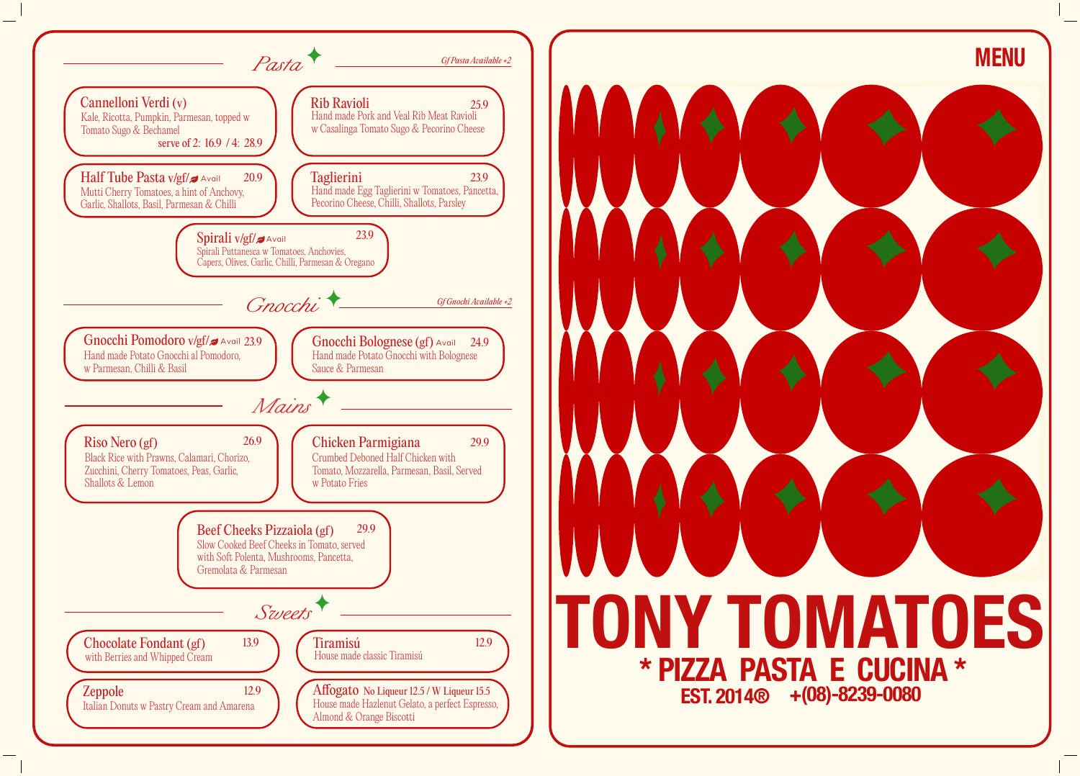